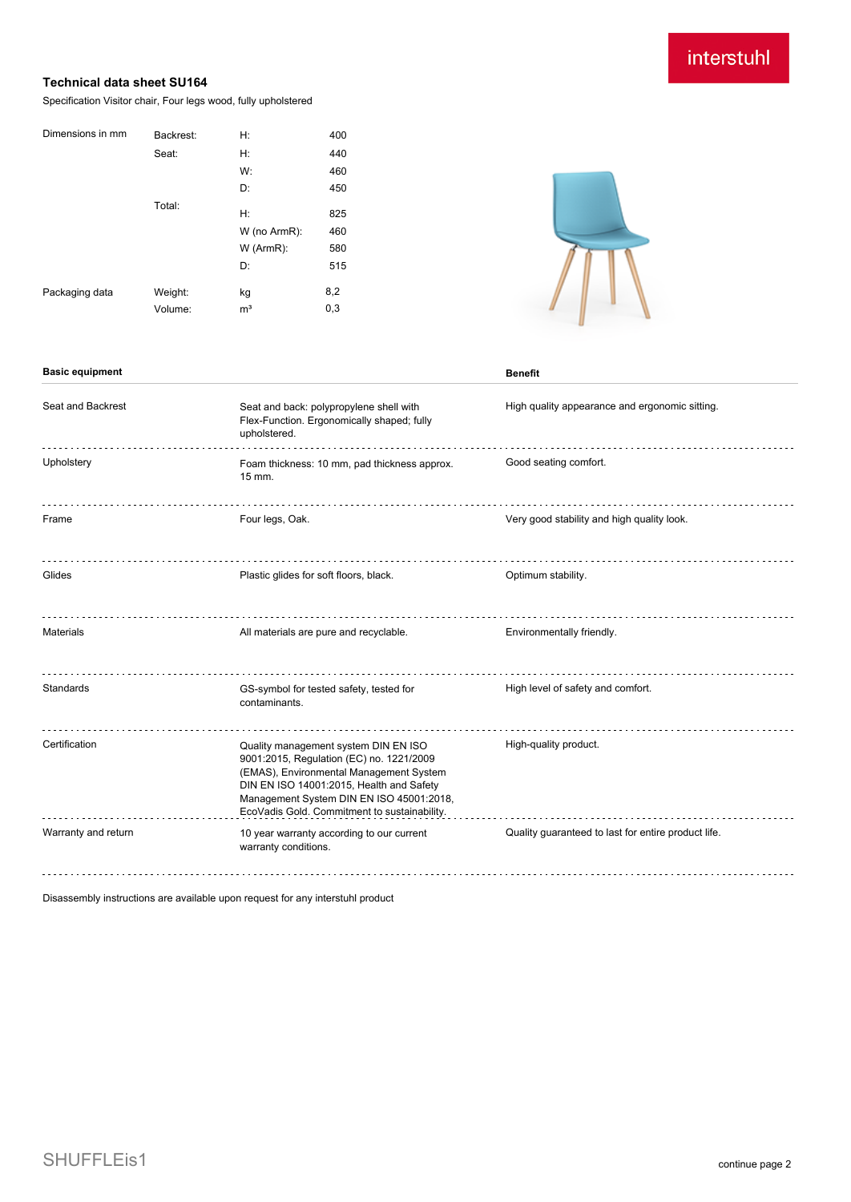## interstuhl

## **Technical data sheet SU164**

Specification Visitor chair, Four legs wood, fully upholstered

| Dimensions in mm | Backrest: | Н:             | 400 |
|------------------|-----------|----------------|-----|
|                  | Seat:     | H:             | 440 |
|                  |           | W:             | 460 |
|                  |           | D:             | 450 |
|                  | Total:    | H:             | 825 |
|                  |           | W (no ArmR):   | 460 |
|                  |           | W (ArmR):      | 580 |
|                  |           | D:             | 515 |
| Packaging data   | Weight:   | kg             | 8,2 |
|                  | Volume:   | m <sup>3</sup> | 0,3 |
|                  |           |                |     |

**Basic equipment Benefit**



#### Seat and Backrest Seat and back: polypropylene shell with High quality appearance and ergonomic sitting. Flex-Function. Ergonomically shaped; fully upholstered. Upholstery **Exam thickness: 10 mm, pad thickness approx.** Good seating comfort. 15 mm. Frame Frame Four legs, Oak. Four legs, Oak. The Section of the Section of the Very good stability and high quality look. Glides **Plastic glides** For soft floors, black. **Container and School School** Specified Plastic glides of the Plastic glides of the Plastic glides of the Plastic glides for soft floors, black. Materials **All materials are pure and recyclable.** Environmentally friendly. Standards GS-symbol for tested safety, tested for High level of safety and comfort. contaminants. Certification Quality management system DIN EN ISO High-quality product. 9001:2015, Regulation (EC) no. 1221/2009 (EMAS), Environmental Management System DIN EN ISO 14001:2015, Health and Safety Management System DIN EN ISO 45001:2018, EcoVadis Gold. Commitment to sustainability. Warranty and return 10 year warranty according to our current Quality guaranteed to last for entire product life. warranty conditions.

Disassembly instructions are available upon request for any interstuhl product